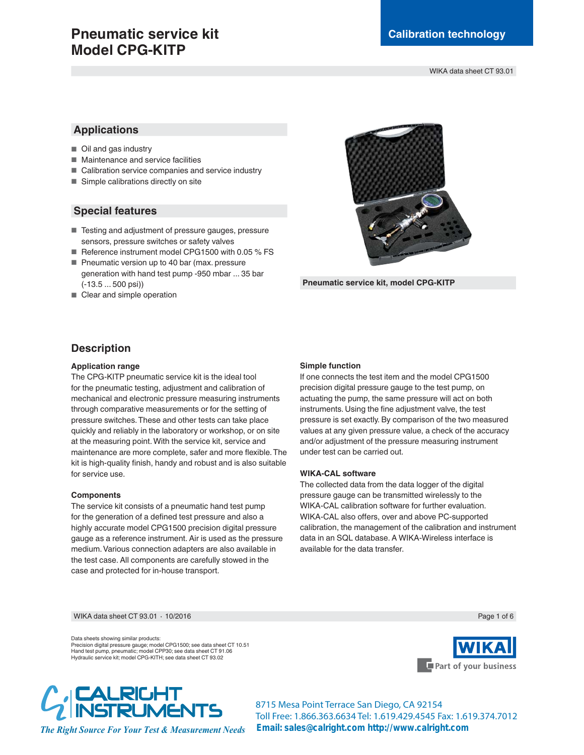# **Pneumatic service kit Model CPG-KITP**

WIKA data sheet CT 93.01

## **Applications**

- Oil and gas industry
- Maintenance and service facilities
- Calibration service companies and service industry
- $\blacksquare$  Simple calibrations directly on site

## **Special features**

- E Testing and adjustment of pressure gauges, pressure sensors, pressure switches or safety valves
- Reference instrument model CPG1500 with 0.05 % FS
- Pneumatic version up to 40 bar (max. pressure generation with hand test pump -950 mbar ... 35 bar (-13.5 ... 500 psi))
- Clear and simple operation



**Pneumatic service kit, model CPG-KITP**

## **Description**

### **Application range**

The CPG-KITP pneumatic service kit is the ideal tool for the pneumatic testing, adjustment and calibration of mechanical and electronic pressure measuring instruments through comparative measurements or for the setting of pressure switches. These and other tests can take place quickly and reliably in the laboratory or workshop, or on site at the measuring point. With the service kit, service and maintenance are more complete, safer and more flexible. The kit is high-quality finish, handy and robust and is also suitable for service use.

#### **Components**

The service kit consists of a pneumatic hand test pump for the generation of a defined test pressure and also a highly accurate model CPG1500 precision digital pressure gauge as a reference instrument. Air is used as the pressure medium. Various connection adapters are also available in the test case. All components are carefully stowed in the case and protected for in-house transport.

#### **Simple function**

If one connects the test item and the model CPG1500 precision digital pressure gauge to the test pump, on actuating the pump, the same pressure will act on both instruments. Using the fine adjustment valve, the test pressure is set exactly. By comparison of the two measured values at any given pressure value, a check of the accuracy and/or adjustment of the pressure measuring instrument under test can be carried out.

### **WIKA-CAL software**

The collected data from the data logger of the digital pressure gauge can be transmitted wirelessly to the WIKA-CAL calibration software for further evaluation. WIKA-CAL also offers, over and above PC-supported calibration, the management of the calibration and instrument data in an SQL database. A WIKA-Wireless interface is available for the data transfer.

WIKA data sheet CT 93.01 · 10/2016

Data sheets showing similar products: Precision digital pressure gauge; model CPG1500; see data sheet CT 10.51<br>Hand test pump, pneumatic; model CPP30; see data sheet CT 91.06<br>Hydraulic service kit; model CPG-KITH; see data sheet CT 93.02





**8715 Mesa Point Terrace San Diego, CA 92154 Toll Free: 1.866.363.6634 Tel: 1.619.429.4545 Fax: 1.619.374.7012 Email: sales@calright.com http://www.calright.com**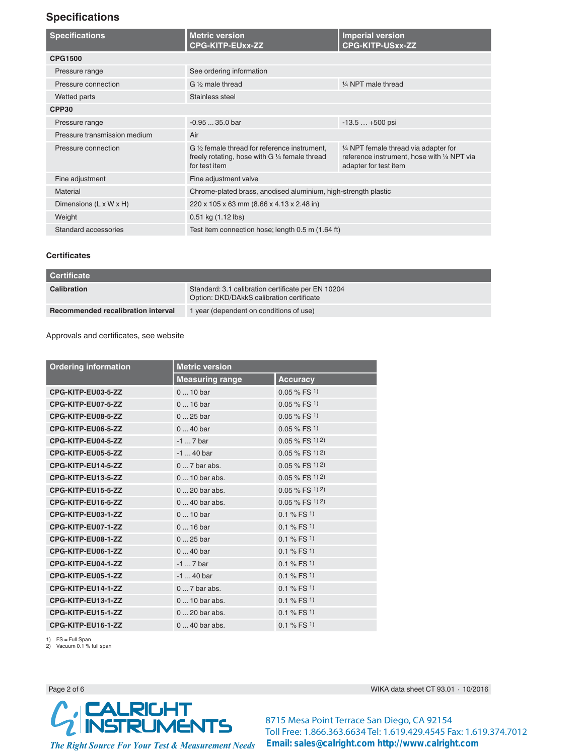# **Specifications**

| <b>Specifications</b>        | <b>Metric version</b><br><b>CPG-KITP-EUxx-ZZ</b>                                                                 | <b>Imperial version</b><br><b>CPG-KITP-USxx-ZZ</b>                                                            |
|------------------------------|------------------------------------------------------------------------------------------------------------------|---------------------------------------------------------------------------------------------------------------|
| <b>CPG1500</b>               |                                                                                                                  |                                                                                                               |
| Pressure range               | See ordering information                                                                                         |                                                                                                               |
| Pressure connection          | $G\%$ male thread                                                                                                | 1/4 NPT male thread                                                                                           |
| Wetted parts                 | Stainless steel                                                                                                  |                                                                                                               |
| CPP <sub>30</sub>            |                                                                                                                  |                                                                                                               |
| Pressure range               | $-0.9535.0$ bar                                                                                                  | $-13.5+500$ psi                                                                                               |
| Pressure transmission medium | Air                                                                                                              |                                                                                                               |
| Pressure connection          | G 1/2 female thread for reference instrument,<br>freely rotating, hose with G 1/4 female thread<br>for test item | 1/4 NPT female thread via adapter for<br>reference instrument, hose with 1/4 NPT via<br>adapter for test item |
| Fine adjustment              | Fine adjustment valve                                                                                            |                                                                                                               |
| <b>Material</b>              | Chrome-plated brass, anodised aluminium, high-strength plastic                                                   |                                                                                                               |
| Dimensions (L x W x H)       | 220 x 105 x 63 mm (8.66 x 4.13 x 2.48 in)                                                                        |                                                                                                               |
| Weight                       | 0.51 kg (1.12 lbs)                                                                                               |                                                                                                               |
| Standard accessories         | Test item connection hose; length 0.5 m (1.64 ft)                                                                |                                                                                                               |

## **Certificates**

| <b>Certificate</b>                 |                                                                                                 |
|------------------------------------|-------------------------------------------------------------------------------------------------|
| <b>Calibration</b>                 | Standard: 3.1 calibration certificate per EN 10204<br>Option: DKD/DAkkS calibration certificate |
| Recommended recalibration interval | I year (dependent on conditions of use)                                                         |

#### Approvals and certificates, see website

| <b>Ordering information</b> | <b>Metric version</b>  |                    |
|-----------------------------|------------------------|--------------------|
|                             | <b>Measuring range</b> | <b>Accuracy</b>    |
| CPG-KITP-EU03-5-ZZ          | $010$ bar              | $0.05 \%$ FS 1)    |
| CPG-KITP-EU07-5-ZZ          | $016$ bar              | $0.05 \%$ FS 1)    |
| CPG-KITP-EU08-5-ZZ          | $025$ bar              | $0.05 \%$ FS 1)    |
| CPG-KITP-EU06-5-ZZ          | $040$ bar              | $0.05 \%$ FS 1)    |
| CPG-KITP-EU04-5-ZZ          | $-17$ bar              | $0.05 \%$ FS 1) 2) |
| CPG-KITP-EU05-5-ZZ          | $-1$ 40 bar            | $0.05 \%$ FS 1) 2) |
| CPG-KITP-EU14-5-ZZ          | $07$ bar abs.          | $0.05 \%$ FS 1) 2) |
| CPG-KITP-EU13-5-ZZ          | $010$ bar abs.         | $0.05 \%$ FS 1) 2) |
| CPG-KITP-EU15-5-ZZ          | $0 \dots 20$ bar abs.  | $0.05\%$ FS 1) 2)  |
| CPG-KITP-EU16-5-ZZ          | $040$ bar abs.         | $0.05 \%$ FS 1) 2) |
| CPG-KITP-EU03-1-ZZ          | $010$ bar              | $0.1 \%$ FS 1)     |
| CPG-KITP-EU07-1-ZZ          | $016$ bar              | $0.1 \%$ FS 1)     |
| CPG-KITP-EU08-1-ZZ          | $025$ bar              | $0.1 \%$ FS 1)     |
| CPG-KITP-EU06-1-ZZ          | $040$ bar              | $0.1 \%$ FS 1)     |
| CPG-KITP-EU04-1-ZZ          | $-17$ bar              | $0.1 \%$ FS 1)     |
| CPG-KITP-EU05-1-ZZ          | $-1$ 40 bar            | $0.1 \%$ FS 1)     |
| CPG-KITP-EU14-1-ZZ          | $07$ bar abs.          | $0.1 \%$ FS 1)     |
| CPG-KITP-EU13-1-ZZ          | $010$ bar abs.         | $0.1 \%$ FS 1)     |
| CPG-KITP-EU15-1-ZZ          | $0 \dots 20$ bar abs.  | $0.1 \%$ FS 1)     |
| CPG-KITP-EU16-1-ZZ          | $040$ bar abs.         | $0.1 \%$ FS 1)     |

1) FS = Full Span 2) Vacuum 0.1 % full span

Page 2 of 6



data sheet CT 93.01  $\cdot$  10/2016

**8715 Mesa Point Terrace San Diego, CA 92154 Toll Free: 1.866.363.6634 Tel: 1.619.429.4545 Fax: 1.619.374.7012 Email: sales@calright.com http://www.calright.com**

*The Right Source For Your Test & Measurement Needs*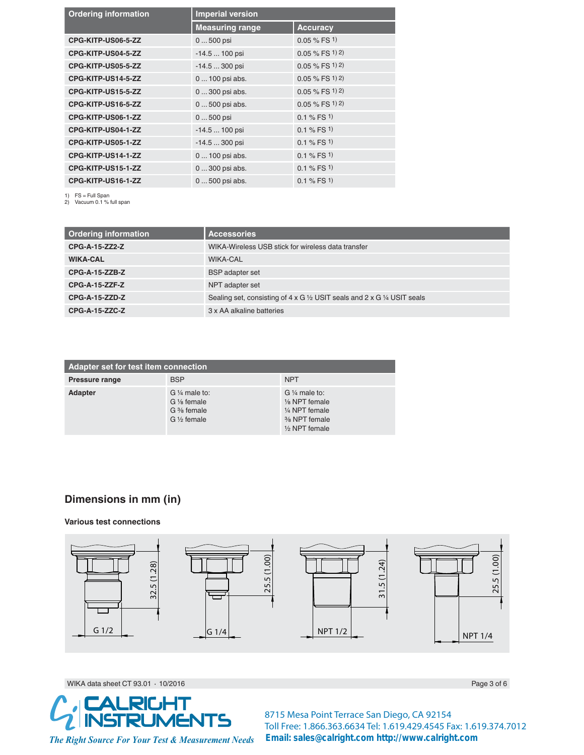| <b>Ordering information</b> | <b>Imperial version</b> |                    |  |
|-----------------------------|-------------------------|--------------------|--|
|                             | <b>Measuring range</b>  | <b>Accuracy</b>    |  |
| CPG-KITP-US06-5-ZZ          | 0  500 psi              | $0.05 \%$ FS 1)    |  |
| CPG-KITP-US04-5-ZZ          | $-14.5100$ psi          | $0.05 \%$ FS 1) 2) |  |
| CPG-KITP-US05-5-ZZ          | $-14.5300$ psi          | $0.05 \%$ FS 1) 2) |  |
| CPG-KITP-US14-5-ZZ          | 0  100 psi abs.         | $0.05 \%$ FS 1) 2) |  |
| CPG-KITP-US15-5-ZZ          | 0  300 psi abs.         | $0.05 \%$ FS 1) 2) |  |
| CPG-KITP-US16-5-ZZ          | 0  500 psi abs.         | $0.05 \%$ FS 1) 2) |  |
| CPG-KITP-US06-1-ZZ          | 0  500 psi              | 0.1 % FS 1)        |  |
| CPG-KITP-US04-1-ZZ          | $-14.5100$ psi          | $0.1 \%$ FS 1)     |  |
| CPG-KITP-US05-1-ZZ          | $-14.5300$ psi          | $0.1 \% FS1$       |  |
| CPG-KITP-US14-1-ZZ          | 0  100 psi abs.         | $0.1 \%$ FS 1)     |  |
| CPG-KITP-US15-1-ZZ          | 0  300 psi abs.         | $0.1 \%$ FS 1)     |  |
| CPG-KITP-US16-1-ZZ          | 0  500 psi abs.         | $0.1 \%$ FS 1)     |  |

1) FS = Full Span 2) Vacuum 0.1 % full span

| <b>Ordering information</b> | <b>Accessories</b>                                                                                         |
|-----------------------------|------------------------------------------------------------------------------------------------------------|
| CPG-A-15-ZZ2-Z              | WIKA-Wireless USB stick for wireless data transfer                                                         |
| <b>WIKA-CAL</b>             | <b>WIKA-CAL</b>                                                                                            |
| <b>CPG-A-15-ZZB-Z</b>       | <b>BSP</b> adapter set                                                                                     |
| CPG-A-15-ZZF-Z              | NPT adapter set                                                                                            |
| <b>CPG-A-15-ZZD-Z</b>       | Sealing set, consisting of $4 \times G$ $\frac{1}{2}$ USIT seals and $2 \times G$ $\frac{1}{4}$ USIT seals |
| CPG-A-15-ZZC-Z              | 3 x AA alkaline batteries                                                                                  |

| Adapter set for test item connection |                                                                                                        |                                                                                                         |  |
|--------------------------------------|--------------------------------------------------------------------------------------------------------|---------------------------------------------------------------------------------------------------------|--|
| Pressure range                       | <b>BSP</b>                                                                                             | <b>NPT</b>                                                                                              |  |
| Adapter                              | $G\frac{1}{4}$ male to:<br>G 1/ <sub>8</sub> female<br>$G \frac{3}{8}$ female<br>$G\frac{1}{2}$ female | $G\frac{1}{4}$ male to:<br>1/8 NPT female<br>1/4 NPT female<br>% NPT female<br>$\frac{1}{2}$ NPT female |  |

# **Dimensions in mm (in)**

## **Various test connections**



WIKA data sheet CT 93.01  $\cdot$ 



**8715 Mesa Point Terrace San Diego, CA 92154 Toll Free: 1.866.363.6634 Tel: 1.619.429.4545 Fax: 1.619.374.7012 Email: sales@calright.com http://www.calright.com**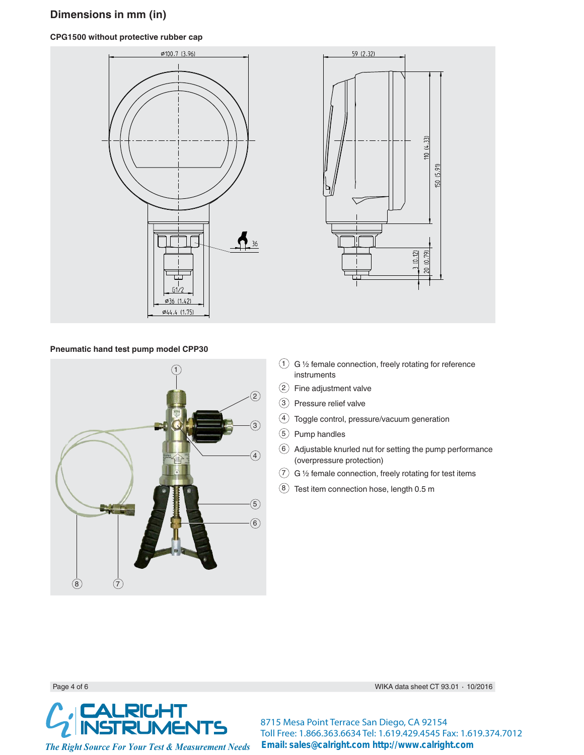# **Dimensions in mm (in)**

## **CPG1500 without protective rubber cap**





### **Pneumatic hand test pump model CPP30**



- $(1)$  G 1/2 female connection, freely rotating for reference instruments
- 2 Fine adjustment valve
- 3 Pressure relief valve
- 4 Toggle control, pressure/vacuum generation
- 5 Pump handles
- $(6)$  Adjustable knurled nut for setting the pump performance (overpressure protection)
- $(7)$  G 1/2 female connection, freely rotating for test items
- ` Test item connection hose, length 0.5 m

Page 4 of 6  $\,$  MIKA  $\,$ 



data sheet CT 93.01  $\cdot$  10/2016

**8715 Mesa Point Terrace San Diego, CA 92154 Toll Free: 1.866.363.6634 Tel: 1.619.429.4545 Fax: 1.619.374.7012 Email: sales@calright.com http://www.calright.com**

*The Right Source For Your Test & Measurement Needs*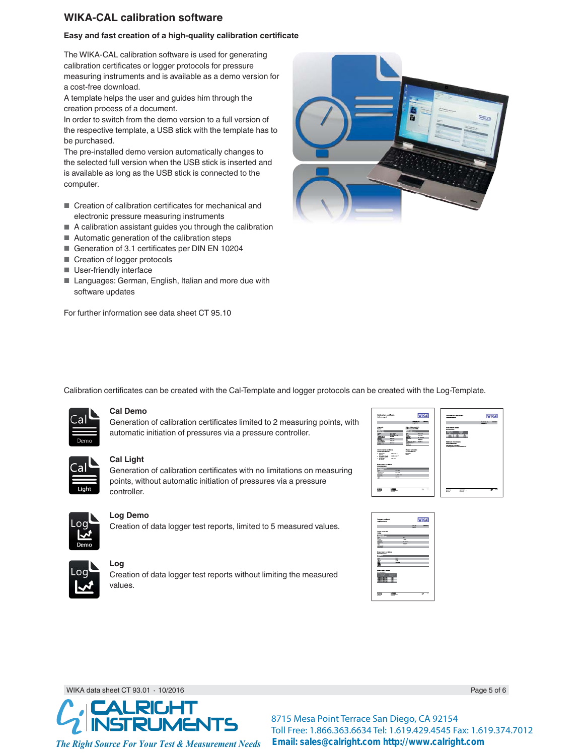# **WIKA-CAL calibration software**

## Easy and fast creation of a high-quality calibration certificate

The WIKA-CAL calibration software is used for generating calibration certificates or logger protocols for pressure measuring instruments and is available as a demo version for a cost-free download.

A template helps the user and guides him through the creation process of a document.

In order to switch from the demo version to a full version of the respective template, a USB stick with the template has to be purchased.

The pre-installed demo version automatically changes to the selected full version when the USB stick is inserted and is available as long as the USB stick is connected to the computer.

- Creation of calibration certificates for mechanical and electronic pressure measuring instruments
- $\blacksquare$  A calibration assistant guides you through the calibration
- $\blacksquare$  Automatic generation of the calibration steps
- Generation of 3.1 certificates per DIN EN 10204
- Creation of logger protocols
- **B** User-friendly interface
- Languages: German, English, Italian and more due with software updates

For further information see data sheet CT 95.10



Calibration certificates can be created with the Cal-Template and logger protocols can be created with the Log-Template.



## **Cal Demo**

Generation of calibration certificates limited to 2 measuring points, with automatic initiation of pressures via a pressure controller.



#### **Cal Light**

Generation of calibration certificates with no limitations on measuring points, without automatic initiation of pressures via a pressure controller.



#### **Log Demo**

Creation of data logger test reports, limited to 5 measured values.





**Log**

Creation of data logger test reports without limiting the measured values.





WIKA data sheet CT 93.01  $\cdot$ 



 $10/2016$  Page 5 of 6

**8715 Mesa Point Terrace San Diego, CA 92154 Toll Free: 1.866.363.6634 Tel: 1.619.429.4545 Fax: 1.619.374.7012 Email: sales@calright.com http://www.calright.com**

*The Right Source For Your Test & Measurement Needs*